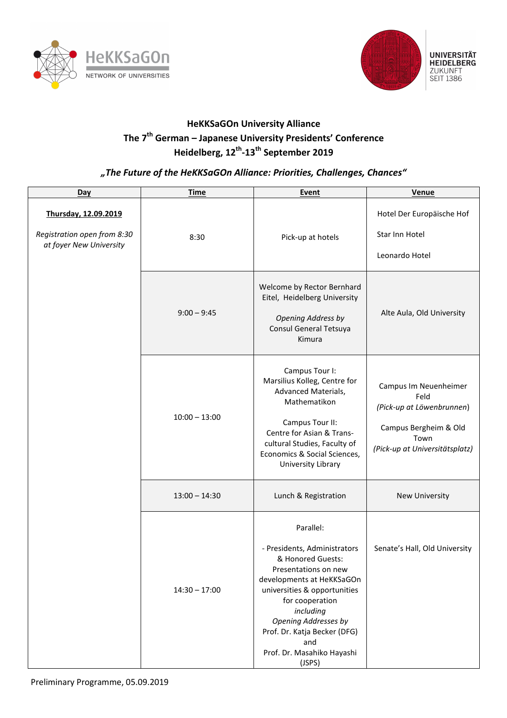



## **HeKKSaGOn University Alliance The 7th German – Japanese University Presidents' Conference Heidelberg, 12th-13th September 2019**

## *"The Future of the HeKKSaGOn Alliance: Priorities, Challenges, Chances"*

| Day                                                                            | <b>Time</b>     | Event                                                                                                                                                                                                                                                                                             | Venue                                                                                                                         |
|--------------------------------------------------------------------------------|-----------------|---------------------------------------------------------------------------------------------------------------------------------------------------------------------------------------------------------------------------------------------------------------------------------------------------|-------------------------------------------------------------------------------------------------------------------------------|
| Thursday, 12.09.2019<br>Registration open from 8:30<br>at foyer New University | 8:30            | Pick-up at hotels                                                                                                                                                                                                                                                                                 | Hotel Der Europäische Hof<br>Star Inn Hotel<br>Leonardo Hotel                                                                 |
|                                                                                | $9:00 - 9:45$   | Welcome by Rector Bernhard<br>Eitel, Heidelberg University<br><b>Opening Address by</b><br>Consul General Tetsuya<br>Kimura                                                                                                                                                                       | Alte Aula, Old University                                                                                                     |
|                                                                                | $10:00 - 13:00$ | Campus Tour I:<br>Marsilius Kolleg, Centre for<br>Advanced Materials,<br>Mathematikon<br>Campus Tour II:<br>Centre for Asian & Trans-<br>cultural Studies, Faculty of<br>Economics & Social Sciences,<br>University Library                                                                       | Campus Im Neuenheimer<br>Feld<br>(Pick-up at Löwenbrunnen)<br>Campus Bergheim & Old<br>Town<br>(Pick-up at Universitätsplatz) |
|                                                                                | $13:00 - 14:30$ | Lunch & Registration                                                                                                                                                                                                                                                                              | New University                                                                                                                |
|                                                                                | $14:30 - 17:00$ | Parallel:<br>- Presidents, Administrators<br>& Honored Guests:<br>Presentations on new<br>developments at HeKKSaGOn<br>universities & opportunities<br>for cooperation<br>including<br><b>Opening Addresses by</b><br>Prof. Dr. Katja Becker (DFG)<br>and<br>Prof. Dr. Masahiko Hayashi<br>(JSPS) | Senate's Hall, Old University                                                                                                 |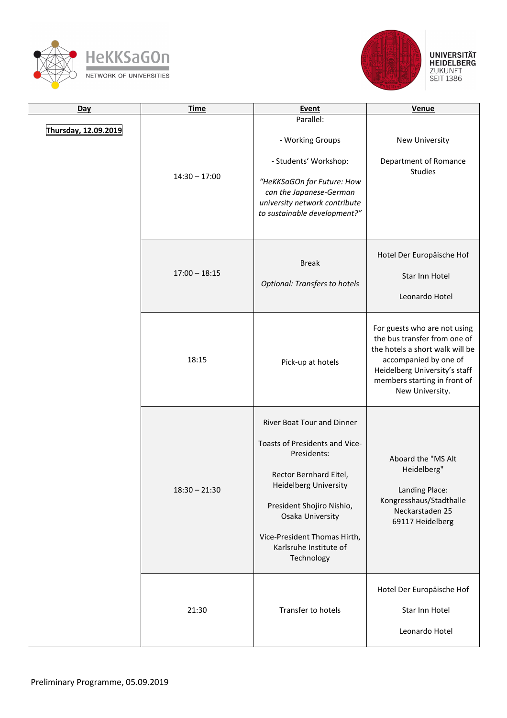





| Day                  | <b>Time</b>     | <b>Event</b>                                                                                                                                                                                                                                                   | <b>Venue</b>                                                                                                                                                                                                 |
|----------------------|-----------------|----------------------------------------------------------------------------------------------------------------------------------------------------------------------------------------------------------------------------------------------------------------|--------------------------------------------------------------------------------------------------------------------------------------------------------------------------------------------------------------|
| Thursday, 12.09.2019 | $14:30 - 17:00$ | Parallel:<br>- Working Groups<br>- Students' Workshop:<br>"HeKKSaGOn for Future: How<br>can the Japanese-German<br>university network contribute<br>to sustainable development?"                                                                               | New University<br>Department of Romance<br><b>Studies</b>                                                                                                                                                    |
|                      | $17:00 - 18:15$ | <b>Break</b><br><b>Optional: Transfers to hotels</b>                                                                                                                                                                                                           | Hotel Der Europäische Hof<br>Star Inn Hotel<br>Leonardo Hotel                                                                                                                                                |
|                      | 18:15           | Pick-up at hotels                                                                                                                                                                                                                                              | For guests who are not using<br>the bus transfer from one of<br>the hotels a short walk will be<br>accompanied by one of<br>Heidelberg University's staff<br>members starting in front of<br>New University. |
|                      | $18:30 - 21:30$ | River Boat Tour and Dinner<br>Toasts of Presidents and Vice-<br>Presidents:<br>Rector Bernhard Eitel,<br><b>Heidelberg University</b><br>President Shojiro Nishio,<br>Osaka University<br>Vice-President Thomas Hirth,<br>Karlsruhe Institute of<br>Technology | Aboard the "MS Alt<br>Heidelberg"<br>Landing Place:<br>Kongresshaus/Stadthalle<br>Neckarstaden 25<br>69117 Heidelberg                                                                                        |
|                      | 21:30           | Transfer to hotels                                                                                                                                                                                                                                             | Hotel Der Europäische Hof<br>Star Inn Hotel<br>Leonardo Hotel                                                                                                                                                |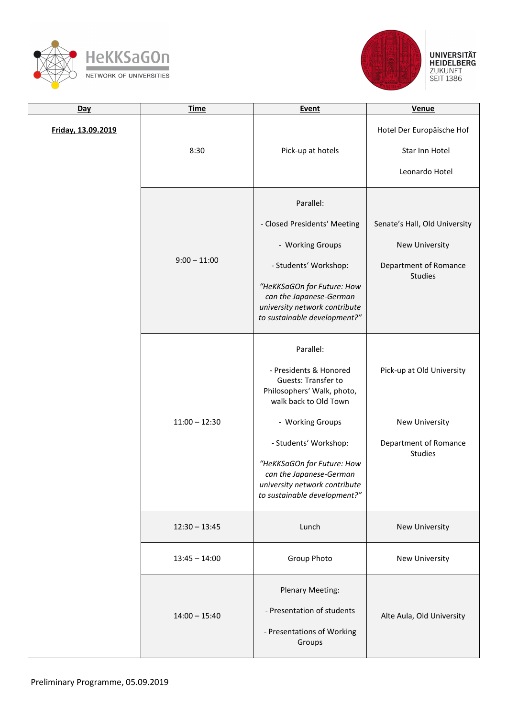



| Day                | <b>Time</b>     | Event                                                                                                                                                                                                                                                                                    | Venue                                                                                      |
|--------------------|-----------------|------------------------------------------------------------------------------------------------------------------------------------------------------------------------------------------------------------------------------------------------------------------------------------------|--------------------------------------------------------------------------------------------|
| Friday, 13.09.2019 | 8:30            | Pick-up at hotels                                                                                                                                                                                                                                                                        | Hotel Der Europäische Hof<br>Star Inn Hotel<br>Leonardo Hotel                              |
|                    | $9:00 - 11:00$  | Parallel:<br>- Closed Presidents' Meeting<br>- Working Groups<br>- Students' Workshop:<br>"HeKKSaGOn for Future: How<br>can the Japanese-German<br>university network contribute<br>to sustainable development?"                                                                         | Senate's Hall, Old University<br>New University<br>Department of Romance<br><b>Studies</b> |
|                    | $11:00 - 12:30$ | Parallel:<br>- Presidents & Honored<br>Guests: Transfer to<br>Philosophers' Walk, photo,<br>walk back to Old Town<br>- Working Groups<br>- Students' Workshop:<br>"HeKKSaGOn for Future: How<br>can the Japanese-German<br>university network contribute<br>to sustainable development?" | Pick-up at Old University<br>New University<br>Department of Romance<br><b>Studies</b>     |
|                    | $12:30 - 13:45$ | Lunch                                                                                                                                                                                                                                                                                    | New University                                                                             |
|                    | $13:45 - 14:00$ | Group Photo                                                                                                                                                                                                                                                                              | New University                                                                             |
|                    | $14:00 - 15:40$ | Plenary Meeting:<br>- Presentation of students<br>- Presentations of Working<br>Groups                                                                                                                                                                                                   | Alte Aula, Old University                                                                  |